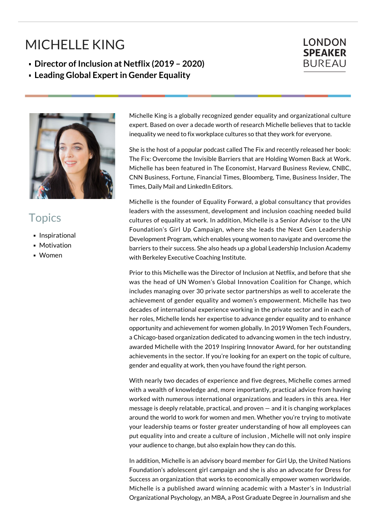## MICHELLE KING



**Leading Global Expert in Gender Equality**



## **Topics**

- **Inspirational**
- **Motivation**
- Women

Michelle King is a globally recognized gender equality and organizational culture expert. Based on over a decade worth of research Michelle believes that to tackle inequality we need to fix workplace cultures so that they work for everyone.

**LONDON SPEAKER BUREAU** 

She is the host of a popular podcast called The Fix and recently released her book: The Fix: Overcome the Invisible Barriers that are Holding Women Back at Work. Michelle has been featured in The Economist, Harvard Business Review, CNBC, CNN Business, Fortune, Financial Times, Bloomberg, Time, Business Insider, The Times, Daily Mail and LinkedIn Editors.

Michelle is the founder of Equality Forward, a global consultancy that provides leaders with the assessment, development and inclusion coaching needed build cultures of equality at work. In addition, Michelle is a Senior Advisor to the UN Foundation's Girl Up Campaign, where she leads the Next Gen Leadership Development Program, which enables young women to navigate and overcome the barriers to their success. She also heads up a global Leadership Inclusion Academy with Berkeley Executive Coaching Institute.

Prior to this Michelle was the Director of Inclusion at Netflix, and before that she was the head of UN Women's Global Innovation Coalition for Change, which includes managing over 30 private sector partnerships as well to accelerate the achievement of gender equality and women's empowerment. Michelle has two decades of international experience working in the private sector and in each of her roles, Michelle lends her expertise to advance gender equality and to enhance opportunity and achievement for women globally. In 2019 Women Tech Founders, a Chicago-based organization dedicated to advancing women in the tech industry, awarded Michelle with the 2019 Inspiring Innovator Award, for her outstanding achievements in the sector. If you're looking for an expert on the topic of culture, gender and equality at work, then you have found the right person.

With nearly two decades of experience and five degrees, Michelle comes armed with a wealth of knowledge and, more importantly, practical advice from having worked with numerous international organizations and leaders in this area. Her message is deeply relatable, practical, and proven — and it is changing workplaces around the world to work for women and men. Whether you're trying to motivate your leadership teams or foster greater understanding of how all employees can put equality into and create a culture of inclusion , Michelle will not only inspire your audience to change, but also explain how they can do this.

In addition, Michelle is an advisory board member for Girl Up, the United Nations Foundation's adolescent girl campaign and she is also an advocate for Dress for Success an organization that works to economically empower women worldwide. Michelle is a published award winning academic with a Master's in Industrial Organizational Psychology, an MBA, a Post Graduate Degree in Journalism and she